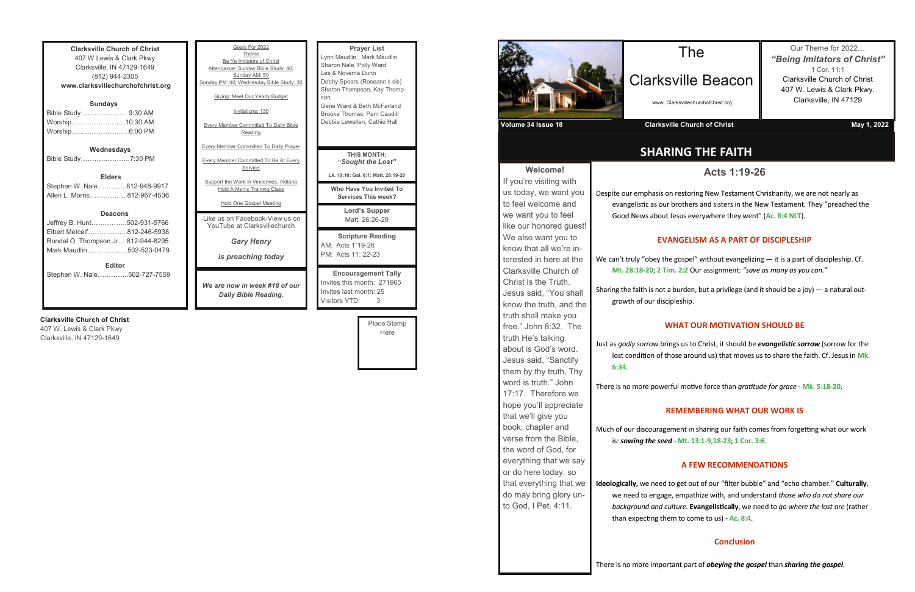**Clarksville Church of Christ** 407 W Lewis & Clark Pkwy Clarksville, IN 47129-1649 (812) 944-2305 **www.clarksvillechurchofchrist.org Sundays** Bible Study………………... 9:30 AM Worship……………………10:30 AM Worship……………………..6:00 PM

**Wednesdays**

Bible Study………………….7:30 PM

**Elders** Stephen W. Nale………….812-948-9917 Allen L. Morris……………..812-967-4536

#### **Deacons**

| <b>Editor</b>                     |  |
|-----------------------------------|--|
| Mark Maudlin502-523-0479          |  |
| Rondal O. Thompson Jr812-944-8295 |  |
| Elbert Metcalf812-246-5938        |  |
| Jeffrey B. Hunt502-931-5766       |  |

Stephen W. Nale…………..502-727-7559

#### **Clarksville Church of Christ**

407 W. Lewis & Clark Pkwy Clarksville, IN 47129-1649

Polly Ward na Dunn rs (Roseann's sis) npson, Kay Thomp-**Beth McFarland** as, Pam Caudill Ilen, Cathie Hall **Lord's Supper**  tt. 26:26-29 **Scripture Reading** "19-26 1: 22-23 **Engement Tally** month: 271965 month: 25 Visitors YTD: 3 Place Stamp Here **S MONTH: "***Sought the Lost"* **Lk. 19:10; Gal. 6:1; Matt. 28:19-20 We You Invited To Services This week?** 

**Mark Maudlin** 



| Goals For 2022<br>Theme<br>Be Ye Imitators of Christ<br>Attendance: Sunday Bible Study: 40;<br>Sunday AM: 50<br>Sunday PM: 40; Wednesday Bible Study: 30<br>Giving: Meet Our Yearly Budget<br>Invitations: 130<br><b>Every Member Committed To Daily Bible</b><br>Reading | <b>Prayer List</b><br>Lynn Maudlin, Mark Mar<br>Sharon Nale, Polly Ward<br>Les & Novema Dunn<br>Debby Spears (Roseann<br>Sharon Thompson, Kay<br>son<br>Gene Ward & Beth McFa<br>Brooke Thomas, Pam Ca<br>Debbie Lewellen, Cathie |
|---------------------------------------------------------------------------------------------------------------------------------------------------------------------------------------------------------------------------------------------------------------------------|-----------------------------------------------------------------------------------------------------------------------------------------------------------------------------------------------------------------------------------|
| <b>Every Member Committed To Daily Prayer</b>                                                                                                                                                                                                                             | <b>THIS MONTH:</b>                                                                                                                                                                                                                |
| <b>Every Member Committed To Be At Every</b><br>Service                                                                                                                                                                                                                   | "Sought the Lo                                                                                                                                                                                                                    |
|                                                                                                                                                                                                                                                                           | Lk. 19:10; Gal. 6:1; Matt.                                                                                                                                                                                                        |
| Support the Work in Vincennes, Indiana<br>Hold A Men's Training Class                                                                                                                                                                                                     | <b>Who Have You Invit</b><br><b>Services This we</b>                                                                                                                                                                              |
| <b>Hold One Gospel Meeting</b>                                                                                                                                                                                                                                            | Lord's Suppe                                                                                                                                                                                                                      |
| -Like us on Facebook-View us on<br>YouTube at Clarksvillechurch                                                                                                                                                                                                           | Matt. 26:26-2                                                                                                                                                                                                                     |
| <b>Gary Henry</b>                                                                                                                                                                                                                                                         | <b>Scripture Read</b><br>AM: Acts 1"19-26                                                                                                                                                                                         |
| is preaching today                                                                                                                                                                                                                                                        | PM: Acts 11: 22-23                                                                                                                                                                                                                |
| We are now in week #18 of our<br>Daily Bible Reading.                                                                                                                                                                                                                     | Encouragement<br>Invites this month: 27<br>Invites last month: 25                                                                                                                                                                 |

We can't truly "obey the gospel" without evangelizing — it is a part of discipleship. Cf. **Mt. 28:18-20**; **2 Tim. 2:2** Our assignment: *"save as many as you can."*

Sharing the faith is not a burden, but a privilege (and it should be a joy)  $-$  a natural outgrowth of our discipleship.

**Welcome!** If you're visiting with us today, we want you to feel welcome and we want you to feel like our honored guest! We also want you to know that all we're interested in here at the Clarksville Church of Christ is the Truth. Jesus said, "You shall know the truth, and the truth shall make you free." John 8:32. The truth He's talking about is God's word. Jesus said, "Sanctify them by thy truth, Thy word is truth." John 17:17. Therefore we hope you'll appreciate that we'll give you book, chapter and verse from the Bible, the word of God, for everything that we say or do here today, so that everything that we do may bring glory unto God, I Pet. 4:11.

## **SHARING THE FAITH**

### The

# Clarksville Beacon

www. Clarksvillechurchofchrist.org

Our Theme for 2022… *"Being Imitators of Christ"* 1 Cor. 11:1 Clarksville Church of Christ 407 W. Lewis & Clark Pkwy. Clarksville, IN 47129



**Acts 1:19-26**

Despite our emphasis on restoring New Testament Christianity, we are not nearly as evangelistic as our brothers and sisters in the New Testament. They "preached the Good News about Jesus everywhere they went" (**Ac. 8:4 NLT**).

#### **EVANGELISM AS A PART OF DISCIPLESHIP**

### **WHAT OUR MOTIVATION SHOULD BE**

Just as *godly sorrow* brings us to Christ, it should be *evangelistic sorrow* (sorrow for the lost condition of those around us) that moves us to share the faith. Cf. Jesus in **Mk. 6:34**.

There is no more powerful motive force than *gratitude for grace* - **Mk. 5:18-20**.

#### **REMEMBERING WHAT OUR WORK IS**

Much of our discouragement in sharing our faith comes from forgetting what our work is: *sowing the seed* - **Mt. 13:1-9,18-23**; **1 Cor. 3:6**.

#### **A FEW RECOMMENDATIONS**

**Ideologically,** we need to get out of our "filter bubble" and "echo chamber." **Culturally**, we need to engage, empathize with, and understand *those who do not share our background and culture.* **Evangelistically**, we need to *go where the lost are* (rather than expecting them to come to us) - **Ac. 8:4**.

#### **Conclusion**

There is no more important part of *obeying the gospel* than *sharing the gospel*.